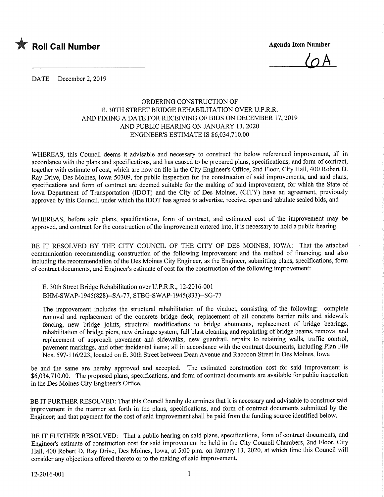

 $\overline{\mathcal{C}}$ 

DATE December 2, 2019

## ORDERING CONSTRUCTION OF E. 30TH STREET BRIDGE REHABILITATION OVER U.P.R.R. AND FIXING A DATE FOR RECEIVING OF BIDS ON DECEMBER 17,2019 AND PUBLIC HEARING ON JANUARY 13, 2020 ENGINEER'S ESTIMATE IS \$6,034,710.00

WHEREAS, this Council deems it advisable and necessary to construct the below referenced improvement, all in accordance with the plans and specifications, and has caused to be prepared plans, specifications, and form of contract, together with estimate of cost, which are now on file in the City Engineer's Office, 2nd Floor, City Hall, 400 Robert D. Ray Drive, Des Moines, Iowa 50309, for public inspection for the construction of said improvements, and said plans, specifications and form of contract are deemed suitable for the making of said improvement, for which the State of Iowa Department of Transportation (IDOT) and the City of Des Moines, (CITY) have an agreement, previously approved by this Council, under which the IDOT has agreed to advertise, receive, open and tabulate sealed bids, and

WHEREAS, before said plans, specifications, form of contract, and estimated cost of the improvement may be approved, and contract for the construction of the improvement entered into, it is necessary to hold a public hearing.

BE IT RESOLVED BY THE CITY COUNCIL OF THE CITY OF DES MOINES, IOWA: That the attached communication recommending construction of the following improvement and the method of financing; and also including the recommendation of the Des Moines City Engineer, as the Engineer, submitting plans, specifications, form of contract documents, and Engineer's estimate of cost for the construction of the following improvement:

E. 30th Street Bridge Rehabilitation over U.P.R.R., 12-2016-001 BHM-SWAP-1945(828)--SA-77, STBG-SWAP-1945(833)--SG-77

The improvement includes the structural rehabilitation of the viaduct, consisting of the following: complete removal and replacement of the concrete bridge deck, replacement of all concrete barrier rails and sidewalk fencing, new bridge joints, structural modifications to bridge abutments, replacement of bridge bearings, rehabilitation of bridge piers, new drainage system, full blast cleaning and repainting of bridge beams, removal and replacement of approach pavement and sidewalks, new guardrail, repairs to retaining walls, traffic control, pavement markings, and other incidental items; all in accordance with the contract documents, including Plan File Nos. 597-116/223, located on E. 30th Street between Dean Avenue and Raccoon Street in Des Moines, Iowa

be and the same are hereby approved and accepted. The estimated construction cost for said improvement is \$6,034,710.00, The proposed plans, specifications, and form of contract documents are available for public inspection in the Des Moines City Engineer's Office.

BE IT FURTHER RESOLVED: That this Council hereby determines that it is necessary and advisable to construct said improvement in the manner set forth in the plans, specifications, and form of contract documents submitted by the Engineer; and that payment for the cost of said improvement shall be paid from the funding source identified below.

BE IT FURTHER RESOLVED: That a public hearing on said plans, specifications, form of contract documents, and Engineer's estimate of construction cost for said improvement be held in the City Council Chambers, 2nd Floor, City Hall, 400 Robert D. Ray Drive, Des Moines, Iowa, at 5:00 p.m. on January 13, 2020, at which time this Council will consider any objections offered thereto or to the making of said improvement.<br>12-2016-001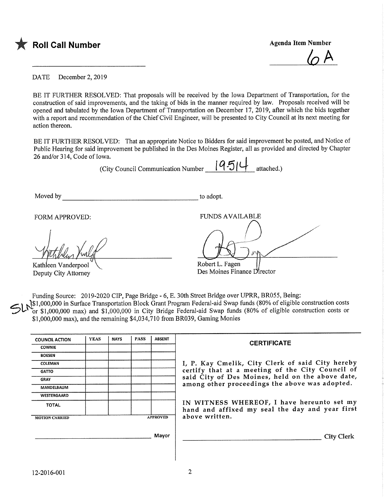

 $\varphi$  A

DATE December 2, 2019

BE IT FURTHER RESOLVED: That proposals will be received by the Iowa Department of Transportation, for the construction of said improvements, and the taking of bids in the manner required by law. Proposals received will be opened and tabulated by the Iowa Department of Transportation on December 17, 2019, after which the bids together with a report and recommendation of the Chief Civil Engineer, will be presented to City Council at its next meeting for action thereon.

BE IT FURTHER RESOLVED: That an appropriate Notice to Bidders for said improvement be posted, and Notice of Public Hearing for said improvement be published in the Des Moines Register, all as provided and directed by Chapter 26 and/or 314, Code of Iowa.

(City Council Communication Number  $\|q_5\|\psi\|_{\text{attached.}}$ )

Moved by to adopt.

FORM APPROVED: THE PUNDS AVAILABLE

Kathleen Vanderpool Deputy City Attorney

Robert L. Fagen Des Moines Finance Director

Funding Source: 2019-2020 CIP, Page Bridge - 6, E. 30th Street Bridge over UPRR, BR055, Being:

 $Sh^{\mathcal{B}}_c$ \$1,000,000 in Surface Transportation Block Grant Program Federal-aid Swap funds (80% of eligible construction costs or \$1,000,000 max) and \$1,000,000 in City Bridge Federal-aid Swap funds (80% of eligible construction costs or \$1,000,000 max), and the remaining \$4,034,710 from BR039, Gaming Monies

| <b>COUNCIL ACTION</b> | <b>YEAS</b> | <b>NAYS</b> | <b>PASS</b> | <b>ABSENT</b>   | <b>CERTIFICATE</b>                                                                            |  |  |  |
|-----------------------|-------------|-------------|-------------|-----------------|-----------------------------------------------------------------------------------------------|--|--|--|
| <b>COWNIE</b>         |             |             |             |                 |                                                                                               |  |  |  |
| <b>BOESEN</b>         |             |             |             |                 |                                                                                               |  |  |  |
| <b>COLEMAN</b>        |             |             |             |                 | I, P. Kay Cmelik, City Clerk of said City hereby                                              |  |  |  |
| <b>GATTO</b>          |             |             |             |                 | certify that at a meeting of the City Council of                                              |  |  |  |
| <b>GRAY</b>           |             |             |             |                 | said City of Des Moines, held on the above date,                                              |  |  |  |
| MANDELBAUM            |             |             |             |                 | among other proceedings the above was adopted.                                                |  |  |  |
| WESTERGAARD           |             |             |             |                 |                                                                                               |  |  |  |
| <b>TOTAL</b>          |             |             |             |                 | IN WITNESS WHEREOF, I have hereunto set my<br>hand and affixed my seal the day and year first |  |  |  |
| <b>MOTION CARRIED</b> |             |             |             | <b>APPROVED</b> | above written.                                                                                |  |  |  |
|                       |             |             |             |                 |                                                                                               |  |  |  |
|                       |             |             |             | Mavor           | City Clerk                                                                                    |  |  |  |
|                       |             |             |             |                 |                                                                                               |  |  |  |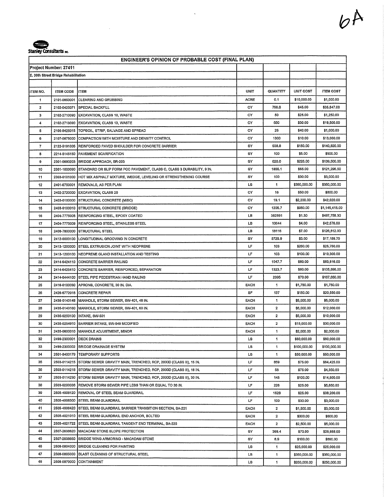

l,

| <b>ENGINEER'S OPINION OF PROBABLE COST (FINAL PLAN)</b> |                                      |                                                                                 |             |              |              |                  |  |  |  |
|---------------------------------------------------------|--------------------------------------|---------------------------------------------------------------------------------|-------------|--------------|--------------|------------------|--|--|--|
| Project Number: 27411                                   |                                      |                                                                                 |             |              |              |                  |  |  |  |
|                                                         | E. 30th Street Bridge Rehabilitation |                                                                                 |             |              |              |                  |  |  |  |
|                                                         |                                      |                                                                                 |             |              |              |                  |  |  |  |
| ITEM NO.                                                | <b>ITEM CODE</b>                     | <b>IITEM</b>                                                                    | <b>UNIT</b> | QUANTITY     | UNIT COST    | <b>ITEM COST</b> |  |  |  |
| $\mathbf{1}$                                            | 2101-0850001                         | CLEARING AND GRUBBING                                                           | ACRE        | 0.1          | \$10,000.00  | \$1,000.00       |  |  |  |
| 2                                                       | 2102-0425071                         | <b>SPECIAL BACKFILL</b>                                                         | СY          | 796,6        | \$45.00      | \$35,847.00      |  |  |  |
| 3                                                       | 2102-2710090                         | EXCAVATION, CLASS 10, WASTE                                                     | СY          | 50           | \$25.00      | \$1,250.00       |  |  |  |
| 4                                                       | 2102-2713090                         | EXCAVATION, CLASS 13, WASTE                                                     | СΥ          | 650          | \$30,00      | \$19,500.00      |  |  |  |
| 5                                                       | 2105-8425015                         | TOPSOIL, STRIP, SALVAGE AND SPREAD                                              | СY          | 25           | \$40.00      | \$1,000.00       |  |  |  |
| 6                                                       | 2107-0875000                         | COMPACTION WITH MOISTURE AND DENSITY CONTROL                                    |             | 1300         | \$10.00      | \$13,000,00      |  |  |  |
| 7                                                       | 2122-5191005                         | REINFORCED PAVED SHOULDER FOR CONCRETE BARRIER                                  |             | 938.8        | \$150.00     | \$140,820.00     |  |  |  |
| 8                                                       | 2214-5145150                         | <b>PAVEMENT SCARIFICATION</b>                                                   | SΥ          | 100          | \$5.00       | \$500.00         |  |  |  |
| 9                                                       | 2301-0690203                         | <b>BRIDGE APPROACH, BR-203</b>                                                  | sY          | 620.0        | \$225.00     | \$139,500.00     |  |  |  |
| 10                                                      | 2301-1033090                         | STANDARD OR SLIP FORM PCC PAVEMENT, CLASS C, CLASS 3 DURABILITY, 9 IN.          |             | 1866.1       | \$65.00      | \$121,296.50     |  |  |  |
| 11                                                      | 2303-0101000                         | HOT MIX ASPHALT MIXTURE, WEDGE, LEVELING OR STRENGTHENING COURSE                | SY          | 100          | \$30,00      | \$3,000.00       |  |  |  |
| 12                                                      | 2401-6750001                         | <b>REMOVALS, AS PER PLAN</b>                                                    | LS          | 1            | \$350,000.00 | \$350,000.00     |  |  |  |
| 13                                                      | 2402-2720000                         | <b>EXCAVATION, CLASS 20</b>                                                     | СY          | 16           | \$50.00      | \$800,00         |  |  |  |
| 14                                                      | 2403-0100000                         | STRUCTURAL CONCRETE (MISC)                                                      | СY          | 19.1         | \$2,200.00   | \$42,020.00      |  |  |  |
| 15                                                      | 2403-0100010                         | <b>STRUCTURAL CONCRETE (BRIDGE)</b>                                             | СY          | 1205.7       | \$950.00     | \$1,145,415.00   |  |  |  |
| 16                                                      | 2404-7775005                         | <b>REINFORCING STEEL, EPOXY COATED</b>                                          | LВ          | 382891       | \$1.30       | \$497,758.30     |  |  |  |
| 17                                                      |                                      | 2404-7775009 REINFORCING STEEL, STAINLESS STEEL                                 | LВ          | 10644        | \$4.00       | \$42,576,00      |  |  |  |
| 18                                                      | 2408-7800000                         | <b>ISTRUCTURAL STEEL</b>                                                        | LВ          | 18116        | \$7.00       | \$126,812.00     |  |  |  |
| 19                                                      | 2412-0000100                         | LONGITUDINAL GROOVING IN CONCRETE                                               | SY          | 5729.9       | \$3.00       | \$17,189.70      |  |  |  |
| 20                                                      |                                      | 2413-1200000 STEEL EXTRUSION JOINT WITH NEOPRENE                                | L۴          | 103          | \$250.00     | \$25,750.00      |  |  |  |
| 21                                                      | 2413-1200100                         | <b>INEOPRENE GLAND INSTALLATION AND TESTING</b>                                 | LF          | 103          | \$100,00     | \$10,300.00      |  |  |  |
| 22                                                      |                                      | 2414-6424110 CONCRETE BARRIER RAILING                                           | LF          | 1047.7       | \$80,00      | \$83,816.00      |  |  |  |
| 23                                                      |                                      | 2414-6425410 CONCRETE BARRIER, REINFORCED, SEPARATION                           | LF          | 1323.7       | \$80,00      | \$105,896.00     |  |  |  |
| 24                                                      |                                      | 2414-6444100 STEEL PIPE PEDESTRIAN HAND RAILING                                 | LF          | 2395         | \$70.00      | \$167,650.00     |  |  |  |
| 25                                                      | 2416-0100030                         | APRONS, CONCRETE, 30 IN. DIA.                                                   | <b>EACH</b> | 1            | \$1,750.00   | \$1,750.00       |  |  |  |
| 26                                                      | 2426-6772016                         | CONCRETE REPAIR                                                                 | SF          | 137          | \$150.00     | \$20,550.00      |  |  |  |
| 27                                                      | 2435-0140148                         | MANHOLE, STORM SEWER, SW-401, 48 IN.                                            | EACH        | 1            | \$5,000.00   | \$5,000,00       |  |  |  |
| 28                                                      | 2435-0140160                         | MANHOLE, STORM SEWER, SW-401, 60 IN.                                            | EACH        | 2            | \$6,000.00   | \$12,000.00      |  |  |  |
| 29                                                      | 2435-0250100                         | INTAKE, SW-501                                                                  | EACH        | $\mathbf{2}$ | \$5,000.00   | \$10,000.00      |  |  |  |
| 30                                                      |                                      | 2435-0254910 BARRIER INTAKE, SW-549 MODIFIED                                    | <b>EACH</b> | 2            | \$15,000.00  | \$30,000.00      |  |  |  |
| 31                                                      |                                      | 2435-0600010 MANHOLE ADJUSTMENT, MINOR                                          | EACH        | 1            | \$2,000.00   | \$2,000.00       |  |  |  |
| 32                                                      | 2499-2300001                         | <b>DECK DRAINS</b>                                                              | LS          | 1            | \$60,000.00  | \$60,000.00      |  |  |  |
| 33                                                      | 2499-2300002                         | <b>BRIDGE DRAINAGE SYSTEM</b>                                                   | <b>LS</b>   | 1            | \$100,000.00 | \$100,000.00     |  |  |  |
| 34                                                      |                                      | 2501-8400179 TEMPORARY SUPPORTS                                                 | LS          | 1            | \$50,000,00  | \$50,000,00      |  |  |  |
| 35                                                      |                                      | 2503-0114215 STORM SEWER GRAVITY MAIN, TRENCHED, RCP, 2000D (CLASS III), 15 IN. | LF          | 859          | \$75.00      | \$64,425.00      |  |  |  |
| 36                                                      |                                      | 2503-0114218 STORM SEWER GRAVITY MAIN, TRENCHED, RCP, 2000D (CLASS III), 18 IN. | LF          | 58           | \$75.00      | \$4,350.00       |  |  |  |
| 37                                                      | 2503-0114230                         | STORM SEWER GRAVITY MAIN, TRENCHED, RCP, 2000D (CLASS III), 30 IN.              | LF          | 145          | \$100.00     | \$14,500.00      |  |  |  |
| 38                                                      | 2503-0200036                         | REMOVE STORM SEWER PIPE LESS THAN OR EQUAL TO 36 IN.                            | LF          | 226          | \$25.00      | \$5,650.00       |  |  |  |
| 39                                                      | 2505-4008120                         | <b>REMOVAL OF STEEL BEAM GUARDRAIL</b>                                          | LF          | 1528         | \$25,00      | \$38,200.00      |  |  |  |
| 40                                                      | 2505-4008300                         | <b>STEEL BEAM GUARDRAIL</b>                                                     | LF          | 100          | \$30.00      | \$3,000.00       |  |  |  |
| 41                                                      |                                      | 2505-4008420 STEEL BEAM GUARDRAIL BARRIER TRANSITION SECTION, BA-221            | EACH        | $\mathbf{2}$ | \$1,500.00   | \$3,000,00       |  |  |  |
| 42                                                      |                                      | 2505-4021010 STEEL BEAM GUARDRAIL END ANCHOR, BOLTED                            | EACH        | 2            | \$300.00     | \$600.00         |  |  |  |
| 43                                                      |                                      | 2505-4021722 STEEL BEAM GUARDRAIL TANGENT END TERMINAL, BA-225                  | EACH        | 2            | \$2,500.00   | \$5,000.00       |  |  |  |
| 44                                                      | 2507-2638620                         | MACADAM STONE SLOPE PROTECTION                                                  | s۲          | 369.4        | \$70.00      | \$25,858,00      |  |  |  |
| 45                                                      | 2507-2638660                         | BRIDGE WING ARMORING - MACADAM STONE                                            | sγ          | 8,9          | \$100,00     | \$890.00         |  |  |  |
| 46                                                      | 2508-0804000                         | BRIDGE CLEANING FOR PAINTING                                                    | LS          | 1.           | \$25,000.00  | \$25,000.00      |  |  |  |
| 47                                                      | 2508-0805000                         | BLAST CLEANING OF STRUCTURAL STEEL                                              | LS          | 1            | \$350,000.00 | \$350,000.00     |  |  |  |
| 48                                                      | 2508-0970000                         | <b>CONTAINMENT</b>                                                              | LS          | 1            | \$250,000.00 | \$250,000.00     |  |  |  |
|                                                         |                                      |                                                                                 |             |              |              |                  |  |  |  |

 $2A$